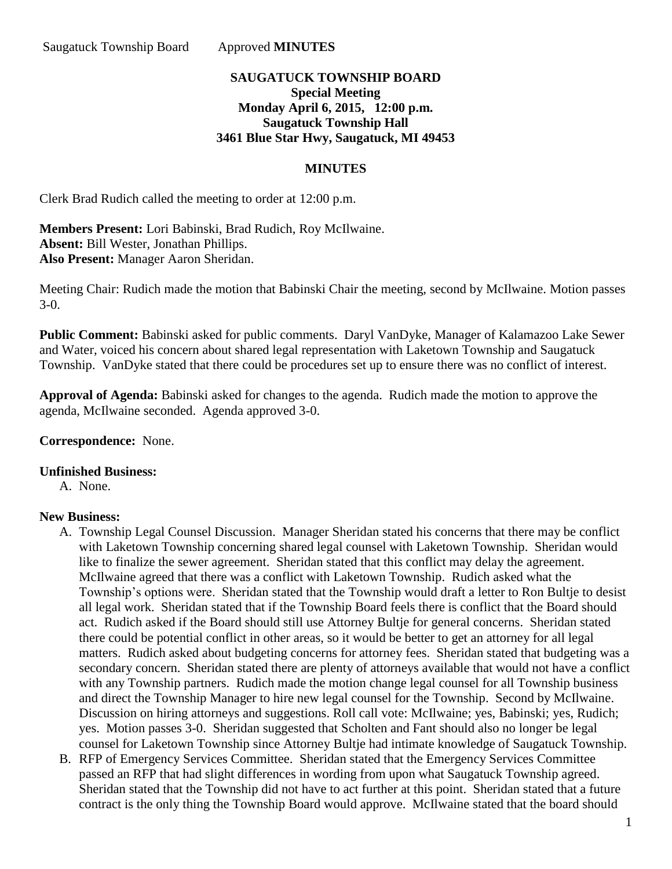## **SAUGATUCK TOWNSHIP BOARD Special Meeting Monday April 6, 2015, 12:00 p.m. Saugatuck Township Hall 3461 Blue Star Hwy, Saugatuck, MI 49453**

## **MINUTES**

Clerk Brad Rudich called the meeting to order at 12:00 p.m.

**Members Present:** Lori Babinski, Brad Rudich, Roy McIlwaine. **Absent:** Bill Wester, Jonathan Phillips. **Also Present:** Manager Aaron Sheridan.

Meeting Chair: Rudich made the motion that Babinski Chair the meeting, second by McIlwaine. Motion passes 3-0.

**Public Comment:** Babinski asked for public comments. Daryl VanDyke, Manager of Kalamazoo Lake Sewer and Water, voiced his concern about shared legal representation with Laketown Township and Saugatuck Township. VanDyke stated that there could be procedures set up to ensure there was no conflict of interest.

**Approval of Agenda:** Babinski asked for changes to the agenda. Rudich made the motion to approve the agenda, McIlwaine seconded. Agenda approved 3-0.

**Correspondence:** None.

## **Unfinished Business:**

A. None.

## **New Business:**

- A. Township Legal Counsel Discussion. Manager Sheridan stated his concerns that there may be conflict with Laketown Township concerning shared legal counsel with Laketown Township. Sheridan would like to finalize the sewer agreement. Sheridan stated that this conflict may delay the agreement. McIlwaine agreed that there was a conflict with Laketown Township. Rudich asked what the Township's options were. Sheridan stated that the Township would draft a letter to Ron Bultje to desist all legal work. Sheridan stated that if the Township Board feels there is conflict that the Board should act. Rudich asked if the Board should still use Attorney Bultje for general concerns. Sheridan stated there could be potential conflict in other areas, so it would be better to get an attorney for all legal matters. Rudich asked about budgeting concerns for attorney fees. Sheridan stated that budgeting was a secondary concern. Sheridan stated there are plenty of attorneys available that would not have a conflict with any Township partners. Rudich made the motion change legal counsel for all Township business and direct the Township Manager to hire new legal counsel for the Township. Second by McIlwaine. Discussion on hiring attorneys and suggestions. Roll call vote: McIlwaine; yes, Babinski; yes, Rudich; yes. Motion passes 3-0. Sheridan suggested that Scholten and Fant should also no longer be legal counsel for Laketown Township since Attorney Bultje had intimate knowledge of Saugatuck Township.
- B. RFP of Emergency Services Committee. Sheridan stated that the Emergency Services Committee passed an RFP that had slight differences in wording from upon what Saugatuck Township agreed. Sheridan stated that the Township did not have to act further at this point. Sheridan stated that a future contract is the only thing the Township Board would approve. McIlwaine stated that the board should